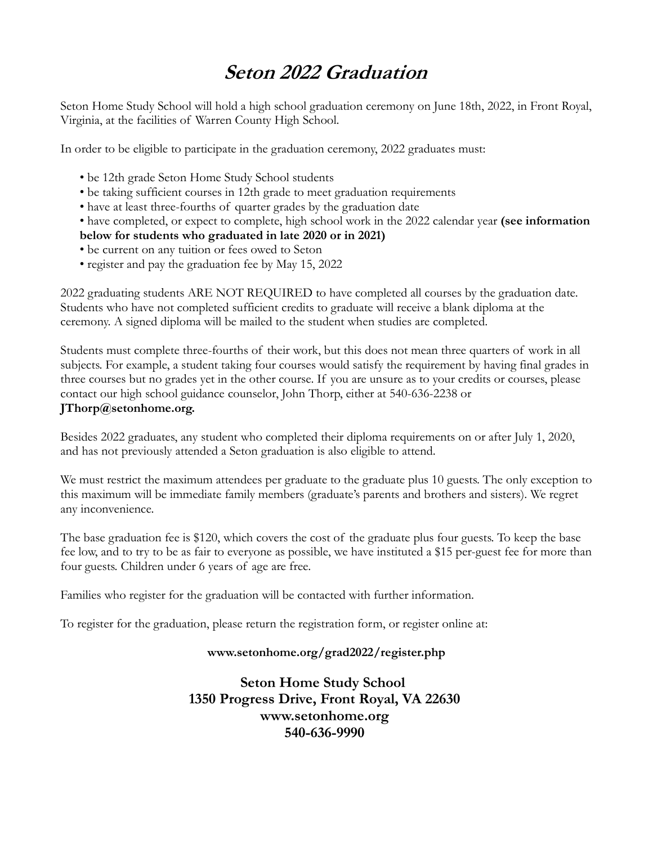## **Seton 2022 Graduation**

Seton Home Study School will hold a high school graduation ceremony on June 18th, 2022, in Front Royal, Virginia, at the facilities of Warren County High School.

In order to be eligible to participate in the graduation ceremony, 2022 graduates must:

- be 12th grade Seton Home Study School students
- be taking sufficient courses in 12th grade to meet graduation requirements
- have at least three-fourths of quarter grades by the graduation date
- have completed, or expect to complete, high school work in the 2022 calendar year **(see information below for students who graduated in late 2020 or in 2021)**
- be current on any tuition or fees owed to Seton
- register and pay the graduation fee by May 15, 2022

2022 graduating students ARE NOT REQUIRED to have completed all courses by the graduation date. Students who have not completed sufficient credits to graduate will receive a blank diploma at the ceremony. A signed diploma will be mailed to the student when studies are completed.

Students must complete three-fourths of their work, but this does not mean three quarters of work in all subjects. For example, a student taking four courses would satisfy the requirement by having final grades in three courses but no grades yet in the other course. If you are unsure as to your credits or courses, please contact our high school guidance counselor, John Thorp, either at 540-636-2238 or **JThorp@setonhome.org.** 

Besides 2022 graduates, any student who completed their diploma requirements on or after July 1, 2020, and has not previously attended a Seton graduation is also eligible to attend.

We must restrict the maximum attendees per graduate to the graduate plus 10 guests. The only exception to this maximum will be immediate family members (graduate's parents and brothers and sisters). We regret any inconvenience.

The base graduation fee is \$120, which covers the cost of the graduate plus four guests. To keep the base fee low, and to try to be as fair to everyone as possible, we have instituted a \$15 per-guest fee for more than four guests. Children under 6 years of age are free.

Families who register for the graduation will be contacted with further information.

To register for the graduation, please return the registration form, or register online at:

## **www.setonhome.org/grad2022/register.php**

**Seton Home Study School 1350 Progress Drive, Front Royal, VA 22630 www.setonhome.org 540-636-9990**